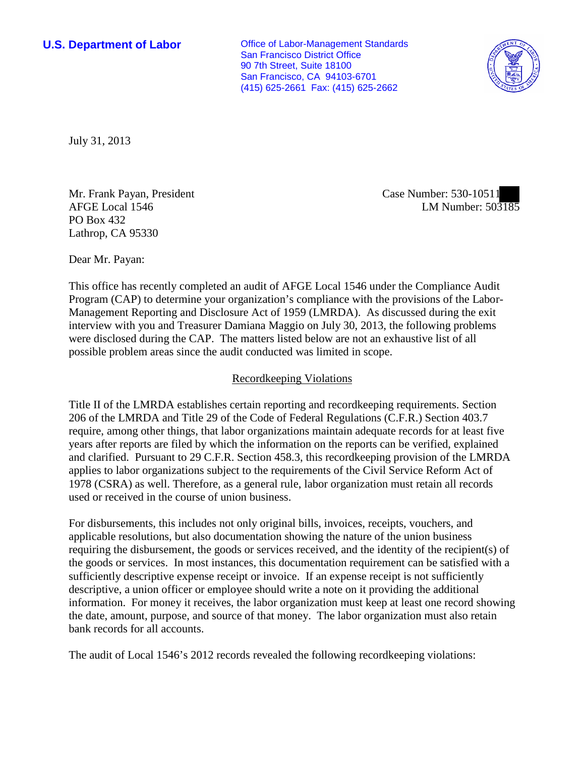**U.S. Department of Labor Conservative Conservative Conservative Conservative Conservative Conservative Conservative Conservative Conservative Conservative Conservative Conservative Conservative Conservative Conservative** San Francisco District Office 90 7th Street, Suite 18100 San Francisco, CA 94103-6701 (415) 625-2661 Fax: (415) 625-2662



July 31, 2013

Mr. Frank Payan, President AFGE Local 1546 PO Box 432 Lathrop, CA 95330

Case Number: 530-10511 LM Number: 503185

Dear Mr. Payan:

This office has recently completed an audit of AFGE Local 1546 under the Compliance Audit Program (CAP) to determine your organization's compliance with the provisions of the Labor-Management Reporting and Disclosure Act of 1959 (LMRDA). As discussed during the exit interview with you and Treasurer Damiana Maggio on July 30, 2013, the following problems were disclosed during the CAP. The matters listed below are not an exhaustive list of all possible problem areas since the audit conducted was limited in scope.

# Recordkeeping Violations

Title II of the LMRDA establishes certain reporting and recordkeeping requirements. Section 206 of the LMRDA and Title 29 of the Code of Federal Regulations (C.F.R.) Section 403.7 require, among other things, that labor organizations maintain adequate records for at least five years after reports are filed by which the information on the reports can be verified, explained and clarified. Pursuant to 29 C.F.R. Section 458.3, this recordkeeping provision of the LMRDA applies to labor organizations subject to the requirements of the Civil Service Reform Act of 1978 (CSRA) as well. Therefore, as a general rule, labor organization must retain all records used or received in the course of union business.

For disbursements, this includes not only original bills, invoices, receipts, vouchers, and applicable resolutions, but also documentation showing the nature of the union business requiring the disbursement, the goods or services received, and the identity of the recipient(s) of the goods or services. In most instances, this documentation requirement can be satisfied with a sufficiently descriptive expense receipt or invoice. If an expense receipt is not sufficiently descriptive, a union officer or employee should write a note on it providing the additional information. For money it receives, the labor organization must keep at least one record showing the date, amount, purpose, and source of that money. The labor organization must also retain bank records for all accounts.

The audit of Local 1546's 2012 records revealed the following recordkeeping violations: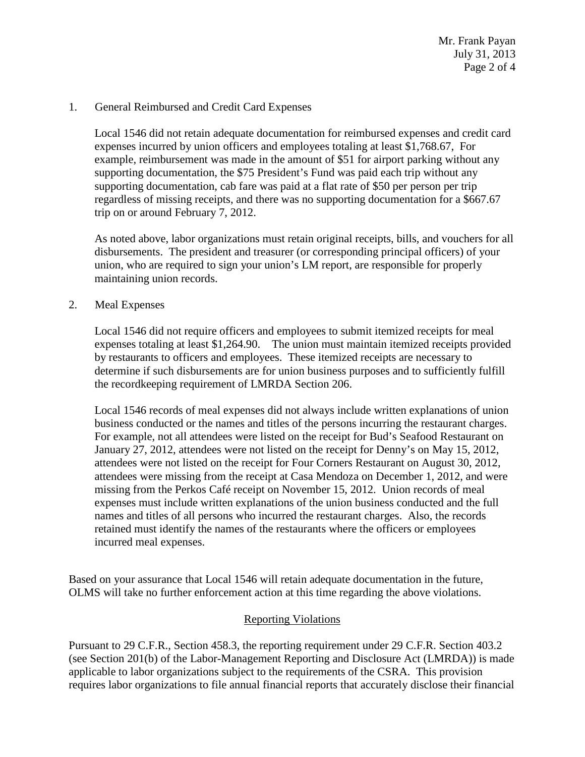Mr. Frank Payan July 31, 2013 Page 2 of 4

#### 1. General Reimbursed and Credit Card Expenses

Local 1546 did not retain adequate documentation for reimbursed expenses and credit card expenses incurred by union officers and employees totaling at least \$1,768.67, For example, reimbursement was made in the amount of \$51 for airport parking without any supporting documentation, the \$75 President's Fund was paid each trip without any supporting documentation, cab fare was paid at a flat rate of \$50 per person per trip regardless of missing receipts, and there was no supporting documentation for a \$667.67 trip on or around February 7, 2012.

As noted above, labor organizations must retain original receipts, bills, and vouchers for all disbursements. The president and treasurer (or corresponding principal officers) of your union, who are required to sign your union's LM report, are responsible for properly maintaining union records.

#### 2. Meal Expenses

Local 1546 did not require officers and employees to submit itemized receipts for meal expenses totaling at least \$1,264.90. The union must maintain itemized receipts provided by restaurants to officers and employees. These itemized receipts are necessary to determine if such disbursements are for union business purposes and to sufficiently fulfill the recordkeeping requirement of LMRDA Section 206.

Local 1546 records of meal expenses did not always include written explanations of union business conducted or the names and titles of the persons incurring the restaurant charges. For example, not all attendees were listed on the receipt for Bud's Seafood Restaurant on January 27, 2012, attendees were not listed on the receipt for Denny's on May 15, 2012, attendees were not listed on the receipt for Four Corners Restaurant on August 30, 2012, attendees were missing from the receipt at Casa Mendoza on December 1, 2012, and were missing from the Perkos Café receipt on November 15, 2012. Union records of meal expenses must include written explanations of the union business conducted and the full names and titles of all persons who incurred the restaurant charges. Also, the records retained must identify the names of the restaurants where the officers or employees incurred meal expenses.

Based on your assurance that Local 1546 will retain adequate documentation in the future, OLMS will take no further enforcement action at this time regarding the above violations.

## Reporting Violations

Pursuant to 29 C.F.R., Section 458.3, the reporting requirement under 29 C.F.R. Section 403.2 (see Section 201(b) of the Labor-Management Reporting and Disclosure Act (LMRDA)) is made applicable to labor organizations subject to the requirements of the CSRA. This provision requires labor organizations to file annual financial reports that accurately disclose their financial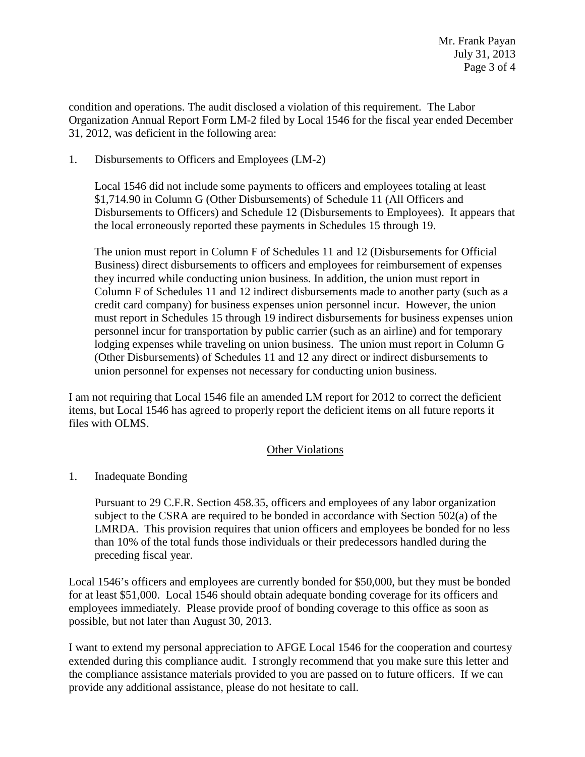condition and operations. The audit disclosed a violation of this requirement. The Labor Organization Annual Report Form LM-2 filed by Local 1546 for the fiscal year ended December 31, 2012, was deficient in the following area:

# 1. Disbursements to Officers and Employees (LM-2)

Local 1546 did not include some payments to officers and employees totaling at least \$1,714.90 in Column G (Other Disbursements) of Schedule 11 (All Officers and Disbursements to Officers) and Schedule 12 (Disbursements to Employees). It appears that the local erroneously reported these payments in Schedules 15 through 19.

The union must report in Column F of Schedules 11 and 12 (Disbursements for Official Business) direct disbursements to officers and employees for reimbursement of expenses they incurred while conducting union business. In addition, the union must report in Column F of Schedules 11 and 12 indirect disbursements made to another party (such as a credit card company) for business expenses union personnel incur. However, the union must report in Schedules 15 through 19 indirect disbursements for business expenses union personnel incur for transportation by public carrier (such as an airline) and for temporary lodging expenses while traveling on union business. The union must report in Column G (Other Disbursements) of Schedules 11 and 12 any direct or indirect disbursements to union personnel for expenses not necessary for conducting union business.

I am not requiring that Local 1546 file an amended LM report for 2012 to correct the deficient items, but Local 1546 has agreed to properly report the deficient items on all future reports it files with OLMS.

## Other Violations

# 1. Inadequate Bonding

Pursuant to 29 C.F.R. Section 458.35, officers and employees of any labor organization subject to the CSRA are required to be bonded in accordance with Section 502(a) of the LMRDA. This provision requires that union officers and employees be bonded for no less than 10% of the total funds those individuals or their predecessors handled during the preceding fiscal year.

Local 1546's officers and employees are currently bonded for \$50,000, but they must be bonded for at least \$51,000. Local 1546 should obtain adequate bonding coverage for its officers and employees immediately. Please provide proof of bonding coverage to this office as soon as possible, but not later than August 30, 2013.

I want to extend my personal appreciation to AFGE Local 1546 for the cooperation and courtesy extended during this compliance audit. I strongly recommend that you make sure this letter and the compliance assistance materials provided to you are passed on to future officers. If we can provide any additional assistance, please do not hesitate to call.